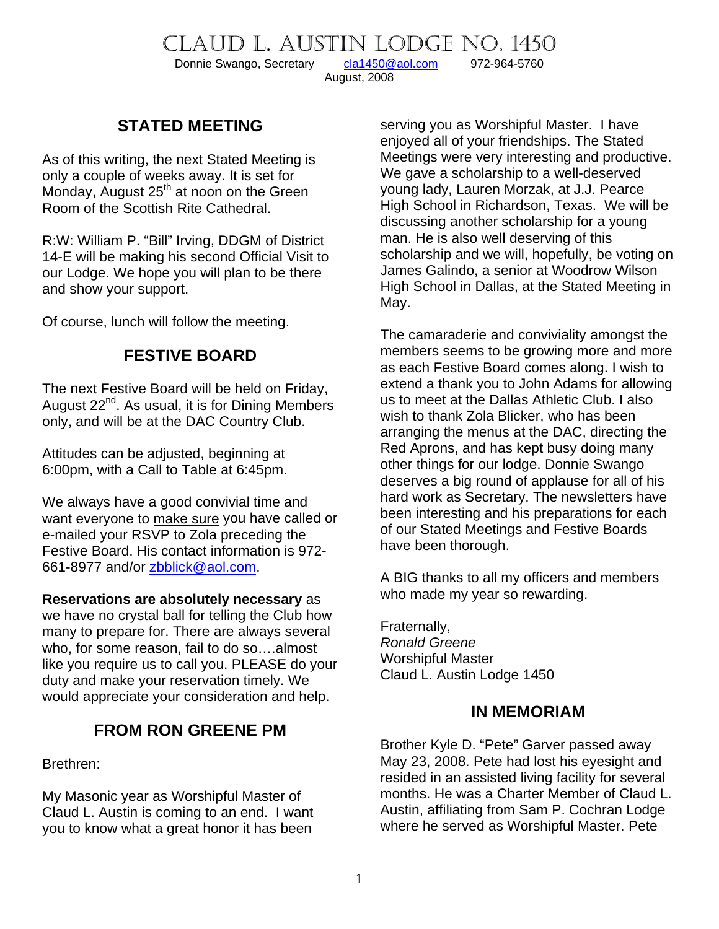CLAUD L. AUSTIN LODGE NO. 1450<br>Donnie Swango, Secretary cla1450@aol.com 972-964-5760

Donnie Swango, Secretary [cla1450@aol.com](mailto:cla1450@aol.com) 972-964-5760

August, 2008

### **STATED MEETING**

As of this writing, the next Stated Meeting is only a couple of weeks away. It is set for Monday, August  $25<sup>th</sup>$  at noon on the Green Room of the Scottish Rite Cathedral.

R:W: William P. "Bill" Irving, DDGM of District 14-E will be making his second Official Visit to our Lodge. We hope you will plan to be there and show your support.

Of course, lunch will follow the meeting.

#### **FESTIVE BOARD**

The next Festive Board will be held on Friday, August  $22^{nd}$ . As usual, it is for Dining Members only, and will be at the DAC Country Club.

Attitudes can be adjusted, beginning at 6:00pm, with a Call to Table at 6:45pm.

We always have a good convivial time and want everyone to make sure you have called or e-mailed your RSVP to Zola preceding the Festive Board. His contact information is 972- 661-8977 and/or [zbblick@aol.com](mailto:zbblick@aol.com).

#### **Reservations are absolutely necessary** as

we have no crystal ball for telling the Club how many to prepare for. There are always several who, for some reason, fail to do so….almost like you require us to call you. PLEASE do your duty and make your reservation timely. We would appreciate your consideration and help.

#### **FROM RON GREENE PM**

Brethren:

My Masonic year as Worshipful Master of Claud L. Austin is coming to an end. I want you to know what a great honor it has been

serving you as Worshipful Master. I have enjoyed all of your friendships. The Stated Meetings were very interesting and productive. We gave a scholarship to a well-deserved young lady, Lauren Morzak, at J.J. Pearce High School in Richardson, Texas. We will be discussing another scholarship for a young man. He is also well deserving of this scholarship and we will, hopefully, be voting on James Galindo, a senior at Woodrow Wilson High School in Dallas, at the Stated Meeting in May.

The camaraderie and conviviality amongst the members seems to be growing more and more as each Festive Board comes along. I wish to extend a thank you to John Adams for allowing us to meet at the Dallas Athletic Club. I also wish to thank Zola Blicker, who has been arranging the menus at the DAC, directing the Red Aprons, and has kept busy doing many other things for our lodge. Donnie Swango deserves a big round of applause for all of his hard work as Secretary. The newsletters have been interesting and his preparations for each of our Stated Meetings and Festive Boards have been thorough.

A BIG thanks to all my officers and members who made my year so rewarding.

Fraternally, *Ronald Greene*  Worshipful Master Claud L. Austin Lodge 1450

#### **IN MEMORIAM**

Brother Kyle D. "Pete" Garver passed away May 23, 2008. Pete had lost his eyesight and resided in an assisted living facility for several months. He was a Charter Member of Claud L. Austin, affiliating from Sam P. Cochran Lodge where he served as Worshipful Master. Pete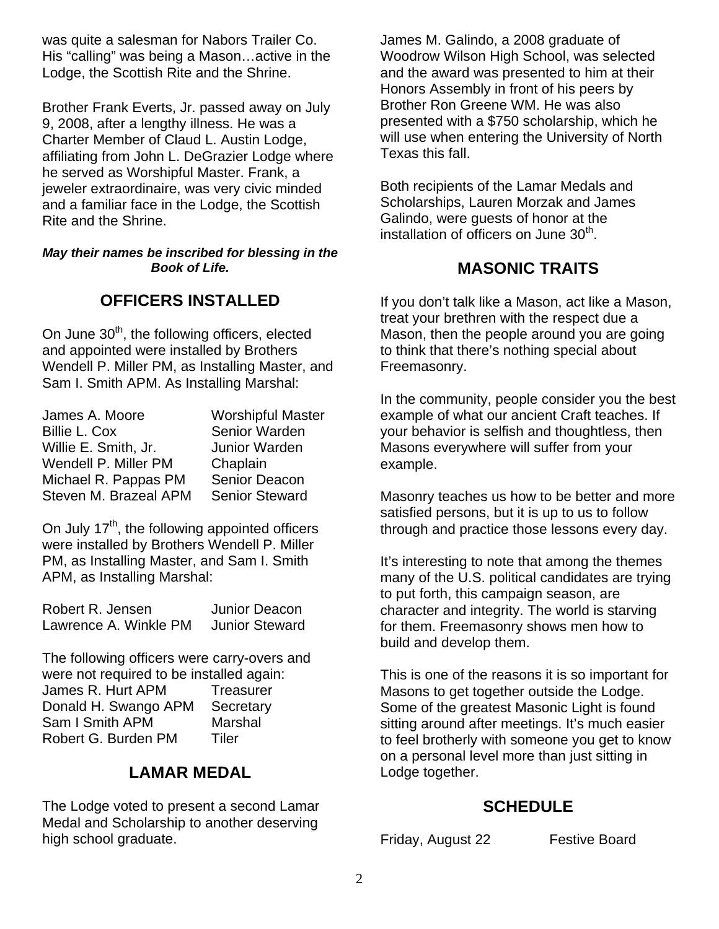was quite a salesman for Nabors Trailer Co. His "calling" was being a Mason…active in the Lodge, the Scottish Rite and the Shrine.

Brother Frank Everts, Jr. passed away on July 9, 2008, after a lengthy illness. He was a Charter Member of Claud L. Austin Lodge, affiliating from John L. DeGrazier Lodge where he served as Worshipful Master. Frank, a jeweler extraordinaire, was very civic minded and a familiar face in the Lodge, the Scottish Rite and the Shrine.

*May their names be inscribed for blessing in the Book of Life.*

#### **OFFICERS INSTALLED**

On June 30<sup>th</sup>, the following officers, elected and appointed were installed by Brothers Wendell P. Miller PM, as Installing Master, and Sam I. Smith APM. As Installing Marshal:

| James A. Moore        | <b>Worshipful Master</b> |
|-----------------------|--------------------------|
| Billie L. Cox         | Senior Warden            |
| Willie E. Smith, Jr.  | <b>Junior Warden</b>     |
| Wendell P. Miller PM  | Chaplain                 |
| Michael R. Pappas PM  | Senior Deacon            |
| Steven M. Brazeal APM | <b>Senior Steward</b>    |

On July  $17<sup>th</sup>$ , the following appointed officers were installed by Brothers Wendell P. Miller PM, as Installing Master, and Sam I. Smith APM, as Installing Marshal:

| Robert R. Jensen      | Junior Deacon         |
|-----------------------|-----------------------|
| Lawrence A. Winkle PM | <b>Junior Steward</b> |

The following officers were carry-overs and were not required to be installed again: James R. Hurt APM Treasurer Donald H. Swango APM Secretary Sam I Smith APM Marshal Robert G. Burden PM Tiler

## **LAMAR MEDAL**

The Lodge voted to present a second Lamar Medal and Scholarship to another deserving high school graduate.

James M. Galindo, a 2008 graduate of Woodrow Wilson High School, was selected and the award was presented to him at their Honors Assembly in front of his peers by Brother Ron Greene WM. He was also presented with a \$750 scholarship, which he will use when entering the University of North Texas this fall.

Both recipients of the Lamar Medals and Scholarships, Lauren Morzak and James Galindo, were guests of honor at the installation of officers on June 30<sup>th</sup>.

## **MASONIC TRAITS**

If you don't talk like a Mason, act like a Mason, treat your brethren with the respect due a Mason, then the people around you are going to think that there's nothing special about Freemasonry.

In the community, people consider you the best example of what our ancient Craft teaches. If your behavior is selfish and thoughtless, then Masons everywhere will suffer from your example.

Masonry teaches us how to be better and more satisfied persons, but it is up to us to follow through and practice those lessons every day.

It's interesting to note that among the themes many of the U.S. political candidates are trying to put forth, this campaign season, are character and integrity. The world is starving for them. Freemasonry shows men how to build and develop them.

This is one of the reasons it is so important for Masons to get together outside the Lodge. Some of the greatest Masonic Light is found sitting around after meetings. It's much easier to feel brotherly with someone you get to know on a personal level more than just sitting in Lodge together.

# **SCHEDULE**

Friday, August 22 Festive Board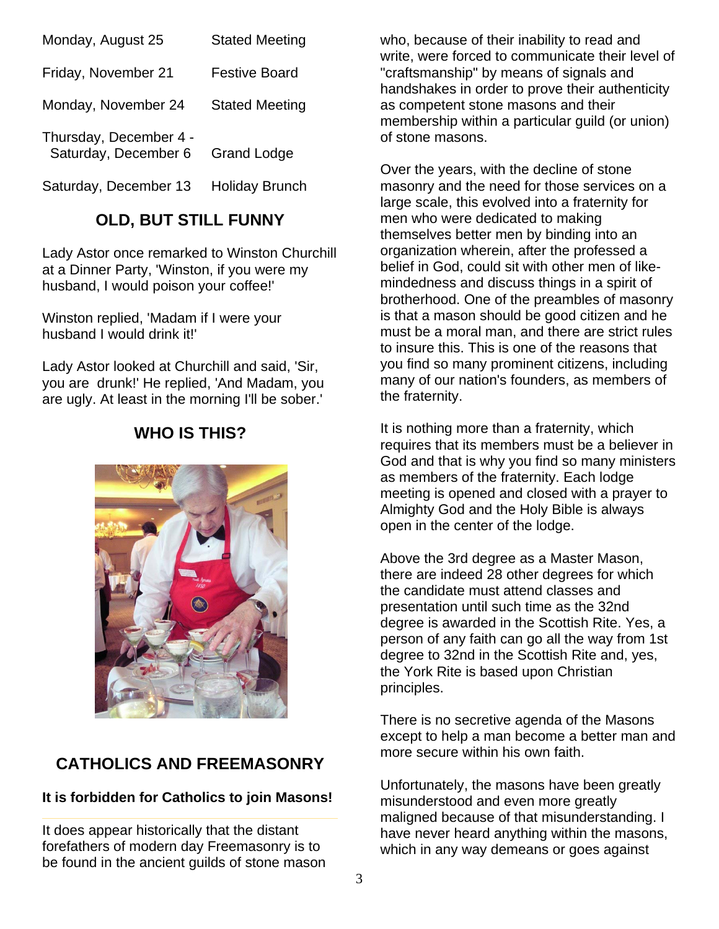| Monday, August 25                              | <b>Stated Meeting</b> |
|------------------------------------------------|-----------------------|
| Friday, November 21                            | Festive Board         |
| Monday, November 24                            | <b>Stated Meeting</b> |
| Thursday, December 4 -<br>Saturday, December 6 | <b>Grand Lodge</b>    |
| Saturday, December 13                          | <b>Holiday Brunch</b> |

#### **OLD, BUT STILL FUNNY**

Lady Astor once remarked to Winston Churchill at a Dinner Party, 'Winston, if you were my husband, I would poison your coffee!'

Winston replied, 'Madam if I were your husband I would drink it!'

Lady Astor looked at Churchill and said, 'Sir, you are drunk!' He replied, 'And Madam, you are ugly. At least in the morning I'll be sober.'

## **WHO IS THIS?**



# **CATHOLICS AND FREEMASONRY**

#### **It is forbidden for Catholics to join Masons!**

It does appear historically that the distant forefathers of modern day Freemasonry is to be found in the ancient guilds of stone mason who, because of their inability to read and write, were forced to communicate their level of "craftsmanship" by means of signals and handshakes in order to prove their authenticity as competent stone masons and their membership within a particular guild (or union) of stone masons.

Over the years, with the decline of stone masonry and the need for those services on a large scale, this evolved into a fraternity for men who were dedicated to making themselves better men by binding into an organization wherein, after the professed a belief in God, could sit with other men of likemindedness and discuss things in a spirit of brotherhood. One of the preambles of masonry is that a mason should be good citizen and he must be a moral man, and there are strict rules to insure this. This is one of the reasons that you find so many prominent citizens, including many of our nation's founders, as members of the fraternity.

It is nothing more than a fraternity, which requires that its members must be a believer in God and that is why you find so many ministers as members of the fraternity. Each lodge meeting is opened and closed with a prayer to Almighty God and the Holy Bible is always open in the center of the lodge.

Above the 3rd degree as a Master Mason, there are indeed 28 other degrees for which the candidate must attend classes and presentation until such time as the 32nd degree is awarded in the Scottish Rite. Yes, a person of any faith can go all the way from 1st degree to 32nd in the Scottish Rite and, yes, the York Rite is based upon Christian principles.

There is no secretive agenda of the Masons except to help a man become a better man and more secure within his own faith.

Unfortunately, the masons have been greatly misunderstood and even more greatly maligned because of that misunderstanding. I have never heard anything within the masons, which in any way demeans or goes against